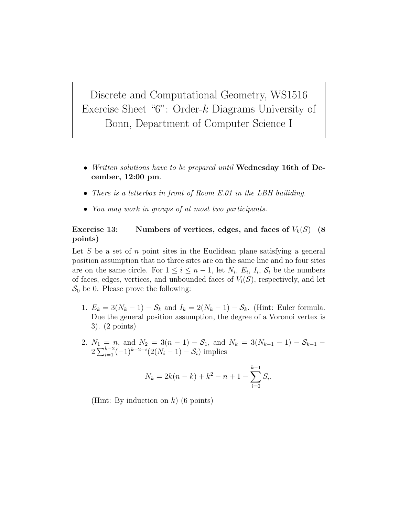Discrete and Computational Geometry, WS1516 Exercise Sheet " $6$ ": Order- $k$  Diagrams University of Bonn, Department of Computer Science I

- Written solutions have to be prepared until Wednesday 16th of December, 12:00 pm.
- There is a letterbox in front of Room E.01 in the LBH builiding.
- You may work in groups of at most two participants.

## Exercise 13: Numbers of vertices, edges, and faces of  $V_k(S)$  (8) points)

Let S be a set of n point sites in the Euclidean plane satisfying a general position assumption that no three sites are on the same line and no four sites are on the same circle. For  $1 \leq i \leq n-1$ , let  $N_i$ ,  $E_i$ ,  $I_i$ ,  $S_i$  be the numbers of faces, edges, vertices, and unbounded faces of  $V_i(S)$ , respectively, and let  $S_0$  be 0. Please prove the following:

- 1.  $E_k = 3(N_k 1) S_k$  and  $I_k = 2(N_k 1) S_k$ . (Hint: Euler formula. Due the general position assumption, the degree of a Voronoi vertex is 3). (2 points)
- 2.  $N_1 = n$ , and  $N_2 = 3(n-1) S_1$ , and  $N_k = 3(N_{k-1} 1) S_{k-1}$  $2\sum_{i=1}^{k-2}(-1)^{k-2-i}(2(N_i-1)-S_i)$  implies

$$
N_k = 2k(n-k) + k^2 - n + 1 - \sum_{i=0}^{k-1} S_i.
$$

(Hint: By induction on  $k$ ) (6 points)